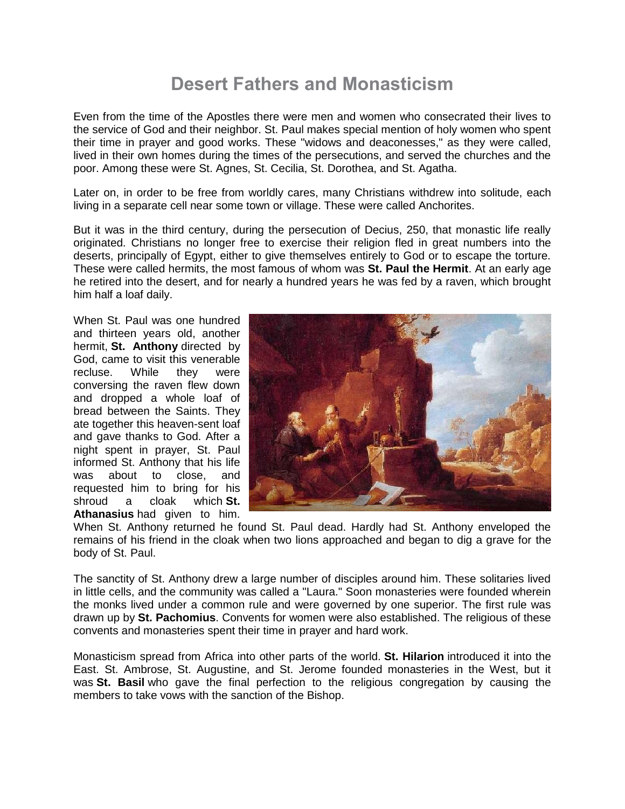## **Desert Fathers and Monasticism**

Even from the time of the Apostles there were men and women who consecrated their lives to the service of God and their neighbor. St. Paul makes special mention of holy women who spent their time in prayer and good works. These "widows and deaconesses," as they were called, lived in their own homes during the times of the persecutions, and served the churches and the poor. Among these were St. Agnes, St. Cecilia, St. Dorothea, and St. Agatha.

Later on, in order to be free from worldly cares, many Christians withdrew into solitude, each living in a separate cell near some town or village. These were called Anchorites.

But it was in the third century, during the persecution of Decius, 250, that monastic life really originated. Christians no longer free to exercise their religion fled in great numbers into the deserts, principally of Egypt, either to give themselves entirely to God or to escape the torture. These were called hermits, the most famous of whom was **St. Paul the Hermit**. At an early age he retired into the desert, and for nearly a hundred years he was fed by a raven, which brought him half a loaf daily.

When St. Paul was one hundred and thirteen years old, another hermit, **St. Anthony** directed by God, came to visit this venerable recluse. While they were conversing the raven flew down and dropped a whole loaf of bread between the Saints. They ate together this heaven-sent loaf and gave thanks to God. After a night spent in prayer, St. Paul informed St. Anthony that his life was about to close, and requested him to bring for his shroud a cloak which **St. Athanasius** had given to him.



When St. Anthony returned he found St. Paul dead. Hardly had St. Anthony enveloped the remains of his friend in the cloak when two lions approached and began to dig a grave for the body of St. Paul.

The sanctity of St. Anthony drew a large number of disciples around him. These solitaries lived in little cells, and the community was called a "Laura." Soon monasteries were founded wherein the monks lived under a common rule and were governed by one superior. The first rule was drawn up by **St. Pachomius**. Convents for women were also established. The religious of these convents and monasteries spent their time in prayer and hard work.

Monasticism spread from Africa into other parts of the world. **St. Hilarion** introduced it into the East. St. Ambrose, St. Augustine, and St. Jerome founded monasteries in the West, but it was **St. Basil** who gave the final perfection to the religious congregation by causing the members to take vows with the sanction of the Bishop.